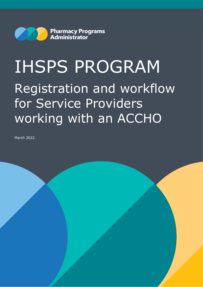

# IHSPS PROGRAM Registration and workflow for Service Providers working with an ACCHO

March 2022

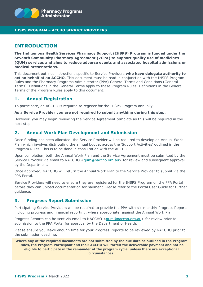![](_page_1_Picture_0.jpeg)

#### **IHSPS PROGRAM – ACCHO SERVICE PROVIDERS**

## **INTRODUCTION**

**The Indigenous Health Services Pharmacy Support (IHSPS) Program is funded under the Seventh Community Pharmacy Agreement (7CPA) to support quality use of medicines (QUM) services and aims to reduce adverse events and associated hospital admissions or medical presentations.** 

This document outlines instructions specific to Service Providers **who have delegate authority to**  act on behalf of an ACCHO. This document must be read in conjunction with the IHSPS Program Rules and the Pharmacy Programs Administrator (PPA) General Terms and Conditions (General Terms). Definitions in the General Terms apply to these Program Rules. Definitions in the General Terms of the Program Rules apply to this document.

## **1. Annual Registration**

To participate, an ACCHO is required to register for the IHSPS Program annually.

#### **As a Service Provider you are not required to submit anything during this step.**

However, you may begin reviewing the Service Agreement template as this will be required in the next step.

### **2. Annual Work Plan Development and Submission**

Once funding has been allocated, the Service Provider will be required to develop an Annual Work Plan which involves distributing the annual budget across the 'Support Activities' outlined in the Program Rules. This is to be done in consultation with the ACCHO.

Upon completion, both the Annual Work Plan and the Service Agreement must be submitted by the Service Provider via email to NACCHO [<qum@naccho.org.au>](mailto:qum@naccho.org.au) for review and subsequent approval by the Department.

Once approved, NACCHO will return the Annual Work Plan to the Service Provider to submit via the PPA Portal.

Service Providers will need to ensure they are registered for the IHSPS Program on the PPA Portal before they can upload documentation for payment. Please refer to the Portal User Guide for further guidance.

## **3. Progress Report Submission**

Participating Service Providers will be required to provide the PPA with six-monthly Progress Reports including progress and financial reporting, where appropriate, against the Annual Work Plan.

Progress Reports can be sent via email to NACCHO [<qum@naccho.org.au>](mailto:qum@naccho.org.au) for review prior to submission to the PPA Portal for approval by the Department of Health.

Please ensure you leave enough time for your Progress Reports to be reviewed by NACCHO prior to the submission deadline.

**Where any of the required documents are not submitted by the due date as outlined in the Program Rules, the Program Participant and their ACCHO will forfeit the deliverable payment and not be eligible to participate in the remainder of the program cycle, unless there are exceptional circumstances.**